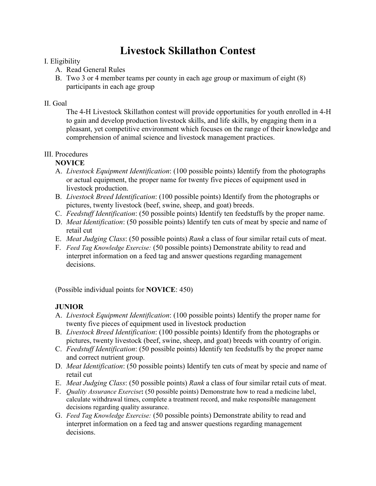# **Livestock Skillathon Contest**

## I. Eligibility

- A. Read General Rules
- B. Two 3 or 4 member teams per county in each age group or maximum of eight (8) participants in each age group

## II. Goal

The 4-H Livestock Skillathon contest will provide opportunities for youth enrolled in 4-H to gain and develop production livestock skills, and life skills, by engaging them in a pleasant, yet competitive environment which focuses on the range of their knowledge and comprehension of animal science and livestock management practices.

# III. Procedures

# **NOVICE**

- A. *Livestock Equipment Identification*: (100 possible points) Identify from the photographs or actual equipment, the proper name for twenty five pieces of equipment used in livestock production.
- B. *Livestock Breed Identification*: (100 possible points) Identify from the photographs or pictures, twenty livestock (beef, swine, sheep, and goat) breeds.
- C. *Feedstuff Identification*: (50 possible points) Identify ten feedstuffs by the proper name.
- D. *Meat Identification*: (50 possible points) Identify ten cuts of meat by specie and name of retail cut
- E. *Meat Judging Class*: (50 possible points) *Rank* a class of four similar retail cuts of meat.
- F. *Feed Tag Knowledge Exercise:* (50 possible points) Demonstrate ability to read and interpret information on a feed tag and answer questions regarding management decisions.

(Possible individual points for **NOVICE**: 450)

# **JUNIOR**

- A. *Livestock Equipment Identification*: (100 possible points) Identify the proper name for twenty five pieces of equipment used in livestock production
- B. *Livestock Breed Identification*: (100 possible points) Identify from the photographs or pictures, twenty livestock (beef, swine, sheep, and goat) breeds with country of origin.
- C. *Feedstuff Identification*: (50 possible points) Identify ten feedstuffs by the proper name and correct nutrient group.
- D. *Meat Identification*: (50 possible points) Identify ten cuts of meat by specie and name of retail cut
- E. *Meat Judging Class*: (50 possible points) *Rank* a class of four similar retail cuts of meat.
- F. *Quality Assurance Exercise***:** (50 possible points) Demonstrate how to read a medicine label, calculate withdrawal times, complete a treatment record, and make responsible management decisions regarding quality assurance.
- G. *Feed Tag Knowledge Exercise:* (50 possible points) Demonstrate ability to read and interpret information on a feed tag and answer questions regarding management decisions.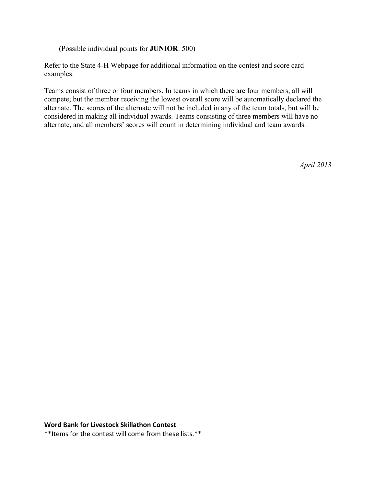(Possible individual points for **JUNIOR**: 500)

Refer to the State 4-H Webpage for additional information on the contest and score card examples.

Teams consist of three or four members. In teams in which there are four members, all will compete; but the member receiving the lowest overall score will be automatically declared the alternate. The scores of the alternate will not be included in any of the team totals, but will be considered in making all individual awards. Teams consisting of three members will have no alternate, and all members' scores will count in determining individual and team awards.

*April 2013*

#### **Word Bank for Livestock Skillathon Contest**

\*\*Items for the contest will come from these lists.\*\*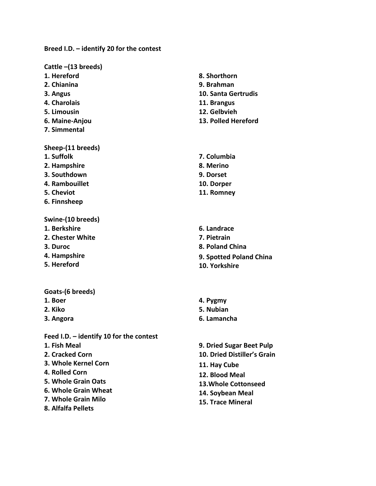## **Breed I.D. – identify 20 for the contest**

#### **Cattle –(13 breeds)**

- **1. Hereford**
- **2. Chianina**
- **3. Angus**
- **4. Charolais**
- **5. Limousin**
- **6. Maine-Anjou**
- **7. Simmental**

#### **Sheep-(11 breeds)**

- **1. Suffolk**
- **2. Hampshire**
- **3. Southdown**
- **4. Rambouillet**
- **5. Cheviot**
- **6. Finnsheep**

#### **Swine-(10 breeds)**

- **1. Berkshire**
- **2. Chester White**
- **3. Duroc**
- **4. Hampshire**
- **5. Hereford**
- **Goats-(6 breeds)**
- **1. Boer**
- **2. Kiko**
- **3. Angora**

## **Feed I.D. – identify 10 for the contest**

- **1. Fish Meal**
- **2. Cracked Corn**
- **3. Whole Kernel Corn**
- **4. Rolled Corn**
- **5. Whole Grain Oats**
- **6. Whole Grain Wheat**
- **7. Whole Grain Milo**
- **8. Alfalfa Pellets**
- **8. Shorthorn**
- **9. Brahman**
- **10. Santa Gertrudis**
- **11. Brangus**
- **12. Gelbvieh**
- **13. Polled Hereford**
- **7. Columbia 8. Merino 9. Dorset 10. Dorper 11. Romney**
- **6. Landrace 7. Pietrain 8. Poland China 9. Spotted Poland China 10. Yorkshire**
- **4. Pygmy**
- **5. Nubian**
- **6. Lamancha**
- **9. Dried Sugar Beet Pulp**
- **10. Dried Distiller's Grain**
- **11. Hay Cube**
- **12. Blood Meal**
- **13.Whole Cottonseed**
- **14. Soybean Meal**
- **15. Trace Mineral**